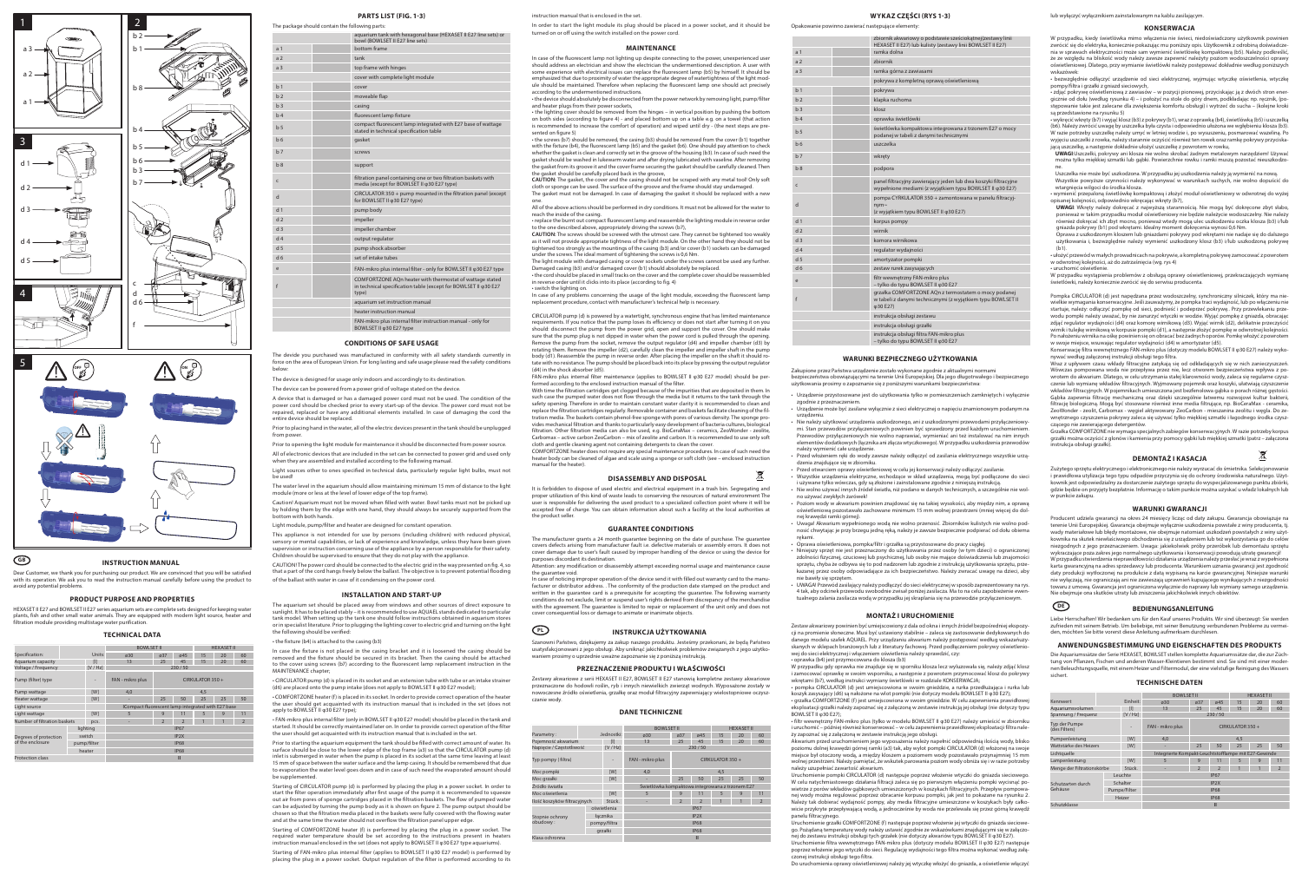Dear Customer, we thank you for purchasing our product. We are convinced that you will be satisfied with its operation. We ask you to read the instruction manual carefully before using the product to avoid any potential pr

#### **PRODUCT PURPOSE AND PROPERTIES**

HEXASET II E27 and BOWLSET II E27 series aquarium sets are complete sets designed for keeping water plants, fish and other small water animals. They are equipped with modern light source, heater and filtration module providing multistage water purification.

#### **TECHNICAL DATA**

|                                           |             |            | <b>BOWLSET II</b>                                  |                    |                         |    | <b>HEXASET II</b> |                |
|-------------------------------------------|-------------|------------|----------------------------------------------------|--------------------|-------------------------|----|-------------------|----------------|
| Specification:                            |             | Units:     | $\alpha$ 30                                        | ø37                | 045                     | 15 | 20                | 60             |
| Aquarium capacity                         |             | [1]        | 13                                                 | 25                 | 45                      | 15 | 20                | 60             |
| Voltage / Frequency                       |             | IV / Hz1   | 230/50                                             |                    |                         |    |                   |                |
| Pump (filter) type                        |             |            | FAN - mikro plus                                   | CIRKULATOR $350 +$ |                         |    |                   |                |
| Pump wattage                              |             | <b>IW1</b> | 4.0                                                | 4.5                |                         |    |                   |                |
| Heater wattage                            |             | <b>IW1</b> |                                                    | 25                 | 50                      | 25 | 25                | 50             |
| Light source                              |             |            | ICompact fluorescent lamp integrated with E27 base |                    |                         |    |                   |                |
| Light wattage                             |             | <b>IW1</b> | 5                                                  | 9                  | 11                      | 5  | 9                 | 11             |
| Number of filtration baskets              |             | pcs.       | ۰                                                  | $\overline{2}$     | $\overline{\mathbf{c}}$ |    |                   | $\overline{2}$ |
|                                           |             | lighting   | <b>IP67</b>                                        |                    |                         |    |                   |                |
| Degrees of protection<br>of the enclosure | switch      |            | IP <sub>2</sub> X                                  |                    |                         |    |                   |                |
|                                           | pump/filter |            | <b>IP68</b>                                        |                    |                         |    |                   |                |
|                                           | heater      |            | <b>IP68</b>                                        |                    |                         |    |                   |                |
| Protection class                          |             | Ш          |                                                    |                    |                         |    |                   |                |

The devide you purchased was manufactured in conformity with all safety standards currently in force on the area of European Union. For long lasting and safe usage please read the safety conditions below:

A device that is damaged or has a damaged power cord must not be used. The condition of the power cord should be checked prior to every start-up of the device. The power cord must not be repaired, replaced or have any additional elements installed. In case of damaging the cord the entire device should be replaced.

Prior to opening the light module for maintenance it should be disconnected from power source. All of electronic devices that are included in the set can be connected to power grid and used only when they are assembled and installed according to the following manual.

|                |                                                | PARTS LIST (FIG. 1-3)                                                                                                                         |
|----------------|------------------------------------------------|-----------------------------------------------------------------------------------------------------------------------------------------------|
|                | he package should contain the following parts: |                                                                                                                                               |
|                |                                                | aquarium tank with hexagonal base (HEXASET II E27 line sets) or<br>bowl (BOWLSET II E27 line sets)                                            |
| a 1            |                                                | bottom frame                                                                                                                                  |
| a 2            |                                                | tank                                                                                                                                          |
| a <sub>3</sub> |                                                | top frame with hinges                                                                                                                         |
|                |                                                | cover with complete light module                                                                                                              |
| b 1            |                                                | cover                                                                                                                                         |
| b2             |                                                | moveable flap                                                                                                                                 |
| b 3            |                                                | casing                                                                                                                                        |
| b 4            |                                                | fluorescent lamp fixture                                                                                                                      |
| b 5            |                                                | compact fluorescent lamp integrated with E27 base of wattage<br>stated in technical specification table                                       |
| b 6            |                                                | gasket                                                                                                                                        |
| b 7            |                                                | screws                                                                                                                                        |
| b 8            |                                                | support                                                                                                                                       |
| c              |                                                | filtration panel containing one or two filtration baskets with<br>media (except for BOWLSET II $\varphi$ 30 E27 type)                         |
| d              |                                                | CIRCULATOR 350 + pump mounted in the filtration panel (except<br>for BOWLSET II φ30 E27 type)                                                 |
| d 1            |                                                | pump body                                                                                                                                     |
| d 2            |                                                | impeller                                                                                                                                      |
| d 3            |                                                | impeller chamber                                                                                                                              |
| d 4            |                                                | output regulator                                                                                                                              |
| d 5            |                                                | pump shock absorber                                                                                                                           |
| d 6            |                                                | set of intake tubes                                                                                                                           |
| è              |                                                | FAN-mikro plus internal filter - only for BOWLSET II φ30 E27 type                                                                             |
| f              |                                                | COMFORTZONE AQn heater with thermostat of wattage stated<br>in technical specification table (except for BOWLSET II $\varphi$ 30 E27<br>type) |
|                |                                                | aquarium set instruction manual                                                                                                               |
|                |                                                | heater instruction manual                                                                                                                     |
|                |                                                | FAN-mikro plus internal filter instruction manual - only for<br>BOWLSET II φ30 E27 type                                                       |
|                |                                                | CONDITIONS OF CAEF HEACE                                                                                                                      |

The packag

 $a<sub>1</sub>$ a 2

 $b$  7  $b 8$ 

 $d2$  $d3$ 

The water level in the aquarium should allow maintaining minimum 15 mm of distance to the light module (more or less at the level of lower edge of the top frame).

Caution! Aquarium must not be moved when filled with water. Bowl tanks must not be picked up by holding them by the edge with one hand, they should always be securely supported from the bottom with both hands.

This appliance is not intended for use by persons (including children) with reduced physical, sensory or mental capabilities, or lack of experience and knowledge, unless they have been given<br>supervision or instruction concerning use of the appliance by a person responsible for their safety.<br>Children should be super

#### **CONDITIONS OF SAFE USAGE**

The device is designed for usage only indoors and accordingly to its destination.

The device can be powered from a power grid of voltage stated on the device.

Prior to placing hand in the water, all of the electric devices present in the tank should be unplugged from power.

Light sources other to ones specified in technical data, particularly regular light bulbs, must not be used!

Starting of FAN-mikro plus internal filter (applies to BOWLSET II  $\omega$ 30 E27 model) is performed by placing the plug in a power socket. Output regulation of the filter is performed according to its

Light module, pump/filter and heater are designed for constant operation.

CAUTION! The power cord should be connected to the electric grid in the way presented on fig. 4, so that a part of the cord hangs freely below the ballast. The objective is to prevent potential flooding of the ballast with water in case of it condensing on the power cord.

#### **INSTALLATION AND START-UP**

The aquarium set should be placed away from windows and other sources of direct exposure to sunlight. It has to be placed stably – it is recommended to use AQUAEL stands dedicated to particular tank model. When setting up the tank one should follow instructions obtained in aquarium stores or in specialist literature. Prior to plugging the lighting cover to electric grid and turning on the light the following should be verified:

• the fixture (b4) is attached to the casing (b3)

In case the fixture is not placed in the casing bracket and it is loosened the casing should be removed and the fixture should be secured in its bracket. Then the casing should be attached to the cover using screws (b7) according to the fluorescent lamp replacement instruction in the MAINTENANCE chapter;

• CIRCULATOR pump (d) is placed in its socket and an extension tube with tube or an intake strainer (d6) are placed onto the pump intake (does not apply to BOWLSET II φ30 E27 model);

• COMFORTZONE heater (f) is placed in its socket. In order to provide correct operation of the heater the user showld get accurate the user showld get a the leader apply to BOWLSET II φ30 E27 type);

UWAGA! Przewód zasilający należy podłączyć do sieci elektrycznej w sposób zapre 4 tak, aby odcinek przewodu swobodnie zwisał poniżej zasilacza. Ma to na celu zapobieżenie ewentualnego zalania zasilacza wodą w przypadku jej skraplania się na przewodzie przyłączeniowym.

• FAN-mikro plus internal filter (only in BOWLSET II φ30 E27 model) should be placed in the tank and started. It should be correctly maintained later on. In order to provide correct operation of the filter the user should get acquainted with its instruction manual that is included in the set.

Prior to starting the aquarium equipment the tank should be filled with correct amount of water. Its surface should be close to the lower edge of the top frame (a3) so that the CIRCULATOR pump (d) inlet is submerged in water when the pump is placed in its socket at the same time leaving at least 15 mm of space between the water surface and the lamp casing. It should be remembered that due to evaporation the water level goes down and in case of such need the evaporated amount should be supplemented.

Starting of CIRCULATOR pump (d) is performed by placing the plug in a power socket. In order to start the filter operation immediately after first usage of the pump it is recommended to squeeze out air from pores of sponge cartridges placed in the filtration baskets. The flow of pumped water<br>can be adjusted by turning the pump body as it is shown on figure 2. The pump output should be<br>chosen so that the filtratio and at the same time the water should not overflow the filtration panel upper edge.

Starting of COMFORTZONE heater (f) is performed by placing the plug in a power socket. The<br>required water temperature should be set according to the instructions present in heaters<br>instruction manual enclosed in the set (d

## **WYKAZ CZĘŚCI (RYS 1-3)**

• wykręcić wkręty (b7) i wyjąć klosz (b3) z pokrywy (b1), wraz z oprawką (b4), świetlówką (b5) i uszczelką (b6). Należy zwrócić uwagę by uszczelka była czysta i odpowiednio ułożona we wgłębieniu klosza (b3). W razie potrzeby uszczelkę należy umyć w letniej wodzie i, po wysuszeniu, posmarować wazeliną. Po<br>wyjęciu uszczelki z rowka, należy starannie oczyścić również ten rowek oraz ramkę pokrywy przyciska-<br>jącą uszczelkę, a nastę

|                | pakowanie powinno zawierać następujące elementy:                                                                                |
|----------------|---------------------------------------------------------------------------------------------------------------------------------|
|                | zbiornik akwariowy o podstawie sześciokątnej (zestawy linii<br>HEXASET II E27) lub kulisty (zestawy linii BOWLSET II E27)       |
| a 1            | ramka dolna                                                                                                                     |
| a <sub>2</sub> | zbiornik                                                                                                                        |
| a <sub>3</sub> | ramka górna z zawiasami                                                                                                         |
|                | pokrywa z kompletną oprawą oświetleniową                                                                                        |
| b 1            | pokrywa                                                                                                                         |
| h <sub>2</sub> | klapka ruchoma                                                                                                                  |
| b3             | klosz                                                                                                                           |
| b4             | oprawka świetlówki                                                                                                              |
| b 5            | świetlówka kompaktowa integrowana z trzonem E27 o mocy<br>podanej w tabeli z danymi technicznymi                                |
| b 6            | uszczelka                                                                                                                       |
| b7             | wkrety                                                                                                                          |
| b 8            | podpora                                                                                                                         |
| C              | panel filtracyjny zawierający jeden lub dwa koszyki filtracyjne<br>wypełnione mediami (z wyjątkiem typu BOWLSET II (930 E27)    |
| d              | pompa CYRKULATOR 350 + zamontowana w panelu filtracyj-<br>$nym\sim$<br>(z wyjątkiem typu BOWLSET II $\varphi$ 30 E27)           |
| d 1            | korpus pompy                                                                                                                    |
| d 2            | wirnik                                                                                                                          |
| d 3            | komora wirnikowa                                                                                                                |
| d 4            | regulator wydajności                                                                                                            |
| d 5            | amortyzator pompki                                                                                                              |
| d 6            | zestaw rurek zasysających                                                                                                       |
| e              | filtr wewnetrzny FAN-mikro plus<br>- tylko do typu BOWLSET II $\varphi$ 30 E27                                                  |
| f              | grzałka COMFORTZONE AQn z termostatem o mocy podanej<br>w tabeli z danymi technicznymi (z wyjątkiem typu BOWLSET II<br>φ30 E27) |
|                | instrukcja obsługi zestawu                                                                                                      |
|                | instrukcja obsługi grzałki                                                                                                      |
|                | instrukcja obsługi filtra FAN-mikro plus                                                                                        |

Opakowanie powinno zav

- opisanej kolejności, odpowiednio wkręcając wkręty (b7),<br>**UWAGI:** Wikey należy dokręcać z najwyższą starannością. Nie mogą być dokręcone zbyt słabo,<br>ponieważ w takim przypadku moduł oświetleniowy nie będzie należycie wodosz
- również dokręcać ich zbyt mocno, ponieważ wtedy mogą ulec uszkodzeniu oczka klosza (b3) i/lub gniazda pokrywy (b1) pod wkrętami. Idealny moment dokręcenia wynosi 0,6 Nm. Oprawa z uszkodzonym kloszem lub gniazdami pokrywy pod wkrętami nie nadaje się do dalszego
- użytkowania i, bezwzględnie należy wymienić uszkodzony klosz (b3) i/lub uszkodzoną pokrywę (b1). • ułożyć przewód w małych prowadnicach na pokrywie, a kompletną pokrywę zamocować z powrotem

instrukcja obsługi filtra FAN-mikro plus – tylko do typu BOWLSET II φ30 E27

# **WARUNKI BEZPIECZNEGO UŻYTKOWANIA**

Zakupione przez Państwa urządzenie zostało wykonane zgodnie z aktualnymi normami

bezpieczeństwa obowiązującymi na terenie Unii Europejskiej. Dla jego długotrwałego i bezpiecznego użytkowania prosimy o zapoznanie się z poniższymi warunkami bezpieczeństwa:

• Urządzenie przystosowane jest do użytkowania tylko w pomieszczeniach zamkniętych i wyłącznie

zgodnie z przeznaczeniem. • Urządzenie może być zasilane wyłącznie z sieci elektrycznej o napięciu znamionowym podanym na

• Nie należy użytkować urządzenia uszkodzonego, ani z uszkodzonymi przewodami przyłączeniowymi. Stan przewodów przyłączeniowych powinien być sprawdzony przed każdym uruchomieniem. Przewodów przyłączeniowych nie wolno naprawiać, wymieniać ani też instalować na nim innych elementów dodatkowych (łącznika ani złącza wtyczkowego). W przypadku uszkodzenia przewodów

- 
- urządzeniu.
- należy wymienić całe urządzenie.
- 

亙

• Przed włożeniem ręki do wody zawsze należy odłączyć od zasilania elektrycznego wszystkie urzą-

dzenia znajdujące się w zbiorniku. • Przed otwarciem oprawy oświetleniowej w celu jej konserwacji należy odłączyć zasilanie. • Wszystkie urządzenia elektryczne, wchodzące w skład urządzenia, mogą być podłączone do sieci

i używane tylko wówczas, gdy są złożone i zainstalowane zgodnie z niniejszą instrukcją. • Nie wolno używać innych źródeł światła, niż podano w danych technicznych, a szczególnie nie wol-

• Poziom wody w akwarium powinien znajdować się na takiej wysokości, aby między nim, a oprawą oświetleniową pozostawało zachowane minimum 15 mm wolnej przestrzeni (mniej więcej do dol-

- 
- no używać zwykłych żarówek!
- nej krawędzi ramki górnej).
- rękami.
- 

• Uwaga! Akwarium wypełnionego wodą nie wolno przenosić. Zbiorników kulistych nie wolno podnosić chwytając je przy brzegu jedną ręką, należy je zawsze bezpiecznie podpierać od dołu obiema

• Oprawa oświetleniowa, pompka/filtr i grzałka są przystosowane do pracy ciągłej.

• Niniejszy sprzęt nie jest przeznaczony do użytkowania przez osoby (w tym dzieci) o ograniczonej zdolności fizycznej, czuciowej lub psychicznej, lub osoby nie mające doświadczenia lub znajomości sprzętu, chyba że odbywa się to pod nadzorem lub zgodnie z instrukcją użytkowania sprzętu, przekazanej przez osoby odpowiadające za ich bezpieczeństwo. Należy zwracać uwagę na dzieci, aby nie bawiły się sprzętem.



#### **MONTAŻ I URUCHOMIENIE**

Zestaw akwariowy powinien być umiejscowiony z dala od okna i innych źródeł bezpośredniej ekspozy-

and heater plugs from their power sockets, • the lighting cover should be removed from the hinges – in vertical position by pushing the bottom on both sides (according to figure 4) - and placed bottom up on a table e.g. on a towel (that action is recommended to increase the comfort of operation) and wiped until dry - (the next steps are presented on figure 5)<br>• the screws (b7) should be removed the casing (b3) should be removed from the cover (b1) together

• the screws (b7) should be removed, the casing (b3) should be removed from the cover (b1) together<br>with the fixture (b4), the fluorescent lamp (b5) and the gasket (b6). One should pay attention to check<br>whether the gasket gasket should be washed in lukewarm water and after drying lubricated with vaseline. After removing the gasket from its groove it and the cover frame securing the gasket should be carefully cleaned.Then<br>the gasket should be carefully placed back in the groove,<br>**CAUTION:** The gasket, the cover and the casing should not be

> cji na promienie słoneczne. Musi być ustawiony stabilnie – zaleca się zastosowanie dedykowanych do danego modelu szafek AQUAEL. Przy urządzaniu akwarium należy postępować według wskazańuzyskanych w sklepach branżowych lub z literatury fachowej. Przed podłączeniem pokrywy oświetleniowej do sieci elektrycznej i włączeniem oświetlenia należy sprawdzić, czy:<br>• oprawka (b4) jest przymocowana do klosza (b3)<br>W przypadku gdy oprawka nie znajduje się w sporniku klosza lecz wyluzowała się, należy zdjąć klosz i zamocować oprawkę w swoim wsporniku, a następnie z powrotem przymocować klosz do pokrywy<br>wkrętami (b7), według instrukci wymiany świetlówki w rozdziale KONSERWACJA;<br>• pompka CIRCULATOR (d) jest umiejscowiona w swoim gnie koszyk zasysający (d6) są nałożone na wlot pompki (nie dotyczy modelu BOWLSET II φ30 E27); • grzałka COMFORTZONE (f) jest umiejscowiona w swoim gnieździe. W celu zapewnienia prawidłowej eksploatacji grzałki należy zapoznać się z załączoną w zestawie instrukcją jej obsługi (nie dotyczy typu BOWLSET II φ30 E27); • filtr wewnętrzny FAN-mikro plus (tylko w modelu BOWLSET II φ30 E27) należy umieścić w zbiorniku i uruchomić – później również konserwować – w celu zapewnienia prawidłowej eksploatacji filtra nale-ży zapoznać się z załączoną w zestawie instrukcją jego obsługi. Akwarium przed uruchomieniem jego wyposażenia należy napełnić odpowiednią ilością wody, blisko poziomu dolnej krawędzi górnej ramki (a3) tak, aby wylot pompki CIRCULATOR (d) włożonej na swoje miejsce był otoczony wodą, a między kloszem a poziomem wody pozostawało przynajmniej 15 mm wolnej przestrzeni. Należy pamiętać, że wskutek parowania poziom wody obniża się i w razie potrzeby<br>należy uzupełniać zawartość akwarium.<br>Uruchomienie pompki CIRCULATOR (d) następuje poprzez włożenie wtyczki do gniazda sie W celu natychmiastowego działania filtracji zaleca się po pierwszym włączeniu pompki wycisnąć powietrze z porów wkładów gąbkowych umieszczonych w koszykach filtracyjnych. Przepływ pompowa-nej wody można regulować poprzez obracanie korpusu pompki, jak jest to pokazane na rysunku 2. Należy tak dobierać wydajność pompy, aby media filtracyjne umieszczone w koszykach były całko-wicie przykryte przepływającą wodą, a jednocześnie by woda nie przelewała się przez górną krawędź panelu filtracyjnego. Uruchomienie grzałki COMFORTZONE (f) następuje poprzez włożenie jej wtyczki do gniazda sieciowego. Pożądaną temperaturę wody należy ustawić zgodnie ze wskazówkami znajdującymi się w załączo-<br>nej do zestawu instrukcji obsługi tych grzałek (nie dotyczy akwariów typu BOWLSET II φ30 E27).<br>Uruchomienie filtra wewnętrzneg poprzez włożenie jego wtyczki do sieci. Regulację wydajności tego filtra można wykonać według załą-czonej instrukcji obsługi tego filtra. Do uruchomienia oprawy oświetleniowej należy jej wtyczkę włożyć do gniazda, a oświetlenie włączyć



cloth and gentle cleaning agent not containing detergents to clean the cover.<br>COMFORTZONE heater does not require any special maintenance procedures. In case of such need the<br>heater body can be cleaned of algae and scale u manual for the heater).

The manufacturer grants a 24 month guarantee beginning on the date of purchase. The guarantee<br>covers defects arising from manufacturer fault i.e. defective materials or assembly errors. It does not<br>cover damage due to user purposes discordant its destination.

lub wyłączyć wyłącznikiem zainstalowanym na kablu zasilającym.

#### **KONSERWACJA**

W przypadku, kiedy świetlówka mimo włączenia nie świeci, niedoświadczony użytkownik powinien zwrócić się do elektryka, koniecznie pokazując mu poniższy opis. Użytkownik z odrobiną doświadczenia w sprawach elektryczności może sam wymienić świetłówkę kompaktową (b5). Należy podkreślić,<br>że ze względu na bliskość wody należy zawsze zapewnić należyty poziom wodoszczelności oprawy<br>oświetleniowej. Dlatego, przy wymi wskazówek:

• bezwzględnie odłączyć urządzenie od sieci elektrycznej, wyjmując wtyczkę oświetlenia, wtyczkę pompy/filtra i grzałki z gniazd sieciowych,

• zdjąć pokrywę oświetleniową z zawiasów – w pozycji pionowej, przyciskając ją z dwóch stron energicznie od dołu (według rysunku 4) – i położyć na stole do góry dnem, podkładając np. ręcznik, (po-stępowanie takie jest zalecane dla zwiększenia komfortu obsługi) i wytrzeć do sucha – (kolejne kroki są przedstawione na rysunku 5)

można tylko miękkiej szmatki lub gąbki. Powierzchnie rowku i ramki muszą pozostać nieuszkodzo-

ne. Uszczelka nie może być uszkodzona. W przypadku jej uszkodzenia należy ją wymienić na nową.

Wszystkie powyższe czynności należy wykonywać w warunkach suchych, nie wolno dopuścić do wtargnięcia wilgoci do środka klosza. • wymienić przepaloną świetlówkę kompaktową i złożyć moduł oświetleniowy w odwrotnej do wyżej

w odwrotnej kolejności, aż do zatrzaśnięcia (wg. rys 4) • uruchomić oświetlenie.

W przypadku wystąpienia problemów z obsługą oprawy oświetleniowej, przekraczających wymianę świetlówki, należy koniecznie zwrócić się do serwisu producenta.

Pompka CIRCULATOR (d) jest napędzana przez wodoszczelny, synchroniczny silniczek, który ma niewielkie wymagania konserwacyjne. Jeśli zauważymy, że pompka traci wydajność, lub po włączeniu nie startuje, należy: odłączyć pompkę od sieci, podnieść i podeprzeć pokrywę.. Przy przewlekaniu przewodu pompki należy uważać, by nie zanurzyć wtyczki w wodzie. Wyjąć pompkę z gniazda, obracając zdjąć regulator wydajności (d4) oraz komorę wirnikową (d3). Wyjąć wirnik (d2), delikatnie przeczyścić wirnik i tulejkę wirnikową w korpusie pompki (d1), a następnie złożyć pompkę w odwrotnej kolejności. Po nałożeniu wirnika na ośkę powinien się on obracać bez żadnych oporów. Pomkę włożyć z powrotem w swoje miejsce, wsuwając regulator wydajności (d4) w amortyzator (d5).

Konserwację filtra wewnętrznego FAN-mikro plus (dotyczy modelu BOWLSET II φ30 E27) należy wykonywać według załączonej instrukcji obsługi tego filtra. Wraz z upływem czasu wkłady filtracyjne zatykają się od odkładających się w nich zanieczyszczeń.

Wówczas pompowana woda nie przepływa przez nie, lecz otworem bezpieczeństwa wpływa z powrotem do akwarium. Dlatego, w celu utrzymania stałej klarowności wody, zaleca się regularne czyszczenie lub wymianę wkładów filtracyjnych. Wyjmowany pojemnik oraz koszyki, ułatwiają czyszczenie wkładów filtracyjnych. W pojemnikach umieszczona jest bezfenolowa gąbka o porach różnej gęstości. Gąbka zapewnia filtrację mechaniczną oraz dzięki szczególnie łatwemu rozwojowi kultur bakterii, filtrację biologiczną. Mogą być stosowane również inne media filtrujące, np. BioCeraMax - ceramika, ZeoWonder - zeolit, Carbomax - węgiel aktywowany ZeoCarbon - mieszanina zeolitu i węgla. Do zewnętrznego czyszczenia pokrywy zaleca się używać tylko miękkiej szmatki i łagodnego środka czysz-

czącego nie zawierającego detergentów. Grzałka COMFORTZONE nie wymaga specjalnych zabiegów konserwacyjnych. W razie potrzeby korpus grzałki można oczyścić z glonów i kamienia przy pomocy gąbki lub miękkiej szmatki (patrz – załączona instrukcja obsługi grzałki).

#### **DEMONTAŻ I KASACJA**

Zużytego sprzętu elektrycznego i elektronicznego nie należy wyrzucać do śmietnika. Selekcjonowanie i prawidłowa utylizacja tego typu odpadów przyczynia się do ochrony środowiska naturalnego. Użytkownik jest odpowiedzialny za dostarczenie zużytego sprzętu do wyspecjalizowanego punktu zbiórki, gdzie będzie on przyjęty bezpłatnie. Informację o takim punkcie można uzyskać u władz lokalnych lub w punkcie zakupu.

#### **WARUNKI GWARANCJI**

Producent udziela gwarancji na okres 24 miesięcy licząc od daty zakupu. Gwarancja obowiązuje na<br>terenie Unii Europejskiej. Gwarancja obejmuje wyłącznie uszkodzenia powstałe z winy producenta, tj.<br>wady materiałowe lub błędy kownika na skutek niewłaściwego obchodzenia się z urządzeniem lub też wykorzystania go do celów niezgodnych z jego przeznaczeniem. Uwaga: jakiekolwiek próby przeróbek lub demontażu sprzętu wykraczające poza zakres jego normalnego użytkowania i konserwacji powodują utratę gwarancji! W przypadku stwierdzenia nieprawidłowości działania urządzenia należy przesłać je wraz z wypełniona<br>karta gwarancyjną na adres sprzedawcy lub producenta. Warunkiem uznania gwarancji jest zgodność<br>daty produkcji wytłoczonej nie wyłączają, nie ograniczają ani nie zawieszają uprawnień kupującego wynikających z niezgodności<br>towaru z umową. Gwarancja jest ograniczona wyłącznie do naprawy lub wymiany samego urządzenia.<br>Nie obejmuje ona skutków utr

# **DE BEDIENUNGSANLEITUNG**

Liebe Herrschaften! Wir bedanken uns für den Kauf unseres Produkts. Wir sind überzeugt: Sie werden zufrieden mit seinem Betrieb. Um beliebige, mit seiner Benutzung verbundenen Probleme zu vermei-den, möchten Sie bitte vorerst diese Anleitung aufmerksam durchlesen.

# **ANWENDUNGSBESTIMMUNG UND EIGENSCHAFTEN DES PRODUKTS**

Die Aquariumssätze der Serie HEXASET, BOWLSET stellen komplette Aquariumssätze dar, die zur Züchtung von Pflanzen, Fischen und anderen Wasser-Kleintieren bestimmt sind. Sie sind mit einer modernen Beleuchtungsquelle, mit einem Heizer und Filtermodul, der eine vielstufige Reinigung des Wassers sichert.

#### **TECHNISCHE DATEN**

|                                      |              |                 | <b>BOWLSET II</b>                                    |                         |                         |    | <b>HEXASET II</b> |                         |  |
|--------------------------------------|--------------|-----------------|------------------------------------------------------|-------------------------|-------------------------|----|-------------------|-------------------------|--|
| Kennwert                             |              | <b>Einheit:</b> | $\alpha$ 30                                          | ø37                     | 045                     | 15 | 20                | 60                      |  |
| Aquariumsvolumen                     |              | m               | 13                                                   | 25                      | 45                      | 15 | 20                | 60                      |  |
| Spannung / Frequenz                  |              | [V / Hz]        | 230/50                                               |                         |                         |    |                   |                         |  |
| Typ der Pumpe<br>(des Filters)       |              |                 | $CIRKULATOR 350 +$<br>FAN - mikro plus               |                         |                         |    |                   |                         |  |
| Pumpenleistung                       |              | <b>IW1</b>      | 4.0                                                  | 4.5                     |                         |    |                   |                         |  |
| Wattstärke des Heizers               |              | <b>IW1</b>      |                                                      | 25                      | 50                      | 25 | 25                | 50                      |  |
| Lichtquelle                          |              |                 | Integrierte Kompakt-Leuchtstofflampe mit E27-Gewinde |                         |                         |    |                   |                         |  |
| Lampenleistung                       |              | <b>IW1</b>      | 5                                                    | 9                       | 11                      | 5  | 9                 | 11                      |  |
| Menge der Filtrationskörbe<br>Stück. |              |                 |                                                      | $\overline{\mathbf{c}}$ | $\overline{\mathbf{c}}$ |    |                   | $\overline{\mathbf{c}}$ |  |
|                                      |              | Leuchte         | <b>IP67</b>                                          |                         |                         |    |                   |                         |  |
| Schutzarten durch<br>Gehäuse         | Schalter     |                 | IP <sub>2</sub> X                                    |                         |                         |    |                   |                         |  |
|                                      | Pumpe/Filter |                 | <b>IP68</b>                                          |                         |                         |    |                   |                         |  |
|                                      |              | Heizer          | <b>IP68</b>                                          |                         |                         |    |                   |                         |  |
| Schutzklasse                         |              | П               |                                                      |                         |                         |    |                   |                         |  |

凰

instruction manual that is enclosed in the set.

In order to start the light module its plug should be placed in a power socket, and it should be turned on or off using the switch installed on the power cord.

#### **MAINTENANCE**

In case of the fluorescent lamp not lighting up despite connecting to the power, unexperienced user should address an electrician and show the electrician the undermentioned description. A user with some experience with electrical issues can replace the fluorescent lamp (b5) by himself. It should be emphasized that due to proximity of water the appropriate degree of watertightness of the light mod-ule should be maintained. Therefore when replacing the fluorescent lamp one should act precisely according to the undermentioned instructions. • the device should absolutely be disconnected from the power network by removing light, pump/filter

cloth or sponge can be used. The surface of the groove and the frame should stay undamaged. The gasket must not be damaged. In case of damaging the gasket it should be replaced with a new

one. All of the above actions should be performed in dry conditions. It must not be allowed for the water to reach the inside of the casing.

• replace the burnt out compact fluorescent lamp and reassemble the lighting module in reverse order

to the one described above, appropriately driving the screws (b7),<br>**CAUTION:** The screws should be screwed with the utmost care. They cannot be tightened too weakly<br>as it will not provide appropriate tightness of the light tightened too strongly as the mountings of the casing (b3) and/or cover (b1) sockets can be damaged ginerica too strongly as the modifitings of the casing (ss) and, or core.<br>Inder the screws. The ideal moment of tightening the screws is 0,6 Nm.

The light module with damaged casing or cover sockets under the screws cannot be used any further. Damaged casing (b3) and/or damaged cover (b1) should absolutely be replaced. • the cord should be placed in small tracks on the cover and the complete cover should be reassembled in reverse order until it clicks into its place (according to fig. 4)

• switch the lighting on.

In case of any problems concerning the usage of the light module, exceeding the fluorescent lamp replacement procedure, contact with manufacturer's technical help is necessary.

CIRCULATOR pump (d) is powered by a watertight, synchronous engine that has limited maintenance requirements. If you notice that the pump loses its efficiency or does not start after turning it on you should: disconnect the pump from the power grid, open and support the cover. One should make<br>sure that the pump plug is not dipped in water when the power cord is pulled through the opening.<br>Remove the pump from the socket body (d1). Reassemble the pump in reverse order. After placing the impeller on the shaft it should ro tate with no resistance. The pump should be placed back into its place by pressing the output regulator (d4) in the shock absorber (d5). FAN-mikro plus internal filter maintenance (applies to BOWLSET II φ30 E27 model) should be per-

formed according to the enclosed instruction manual of the filter. With time the filtration cartridges get clogged because of the impurities that are deposited in them. In

such case the pumped water does not flow through the media but it returns to the tank through the safety opening. Therefore in order to maintain constant water clarity it is recommended to clean and replace the filtration cartridges regularly. Removable container and baskets facilitate cleaning of the filtration media. The baskets contain phenol-free sponge with pores of various density. The sponge provides mechanical filtration and thanks to particularly easy development of bacteria cultures, biological filtration. Other filtration media can also be used, e.g. BioCeraMax – ceramics, ZeoWonder - zeolite, Carbomax – active carbon ZeoCarbon – mix of zeolite and carbon. It is recommended to use only soft

#### **DISASSEMBLY AND DISPOSAL**

It is forbidden to dispose of used electric and electrical equipment in a trash bin. Segregating and proper utilization of this kind of waste leads to conserving the resources of natural environment The user is responsible for delivering the used product to a specialized collection point where it will be accepted free of charge. You can obtain information about such a facility at the local authorities at the product seller.

# **GUARANTEE CONDITIONS**

Attention: any modification or disassembly attempt exceeding normal usage and maintenance cause the guarantee void. In case of noticing improper operation of the device send it with filled out warranty card to the manu-

facturer or distributor address. . The conformity of the production date stamped on the product and written in the guarantee card is a prerequisite for accepting the guarantee. The following warranty conditions do not exclude, limit or suspend user's rights derived from discrepancy of the merchandise with the agreement. The guarantee is limited to repair or replacement of the unit only and does not cover consequential loss or damage to animate or inanimate objects.

# **PL INSTRUKCJA UŻYTKOWANIA**

Szanowni Państwo, dziękujemy za zakup naszego produktu. Jesteśmy przekonani, że będą Państwo usatysfakcjonowani z jego obsługi. Aby uniknąć jakichkolwiek problemów związanych z jego użytkowaniem prosimy o uprzednie uważne zapoznanie się z poniższą instrukcją.

# **PRZEZNACZENIE PRODUKTU I WŁAŚCIWOŚCI**

Zestawy akwariowe z serii HEXASET II E27, BOWLSET II E27 stanowią kompletne zestawy akwariowe przeznaczone do hodowli roślin, ryb i innych niewielkich zwierząt wodnych. Wyposażone zostały w nowoczesne źródło oświetlenia, grzałkę oraz moduł filtracyjny zapewniający wielostopniowe oczyszczanie wody.

#### **DANE TECHNICZNE**

|                                        |              |            | <b>BOWLSET II</b>                               |                  |                | <b>HEXASET II</b> |    |                |
|----------------------------------------|--------------|------------|-------------------------------------------------|------------------|----------------|-------------------|----|----------------|
| Parametry:                             | Jednostki:   |            | $\alpha$ 30                                     | 0.37             | 045            | 15                | 20 | 60             |
| Pojemność akwarium                     |              | [1]        | 13                                              | 25               | 45             | 15                | 20 | 60             |
| Napiecie / Czestotliwość               |              | IV / Hz1   | 230/50                                          |                  |                |                   |    |                |
| Typ pompy (filtra)                     |              |            | FAN - mikro plus                                | CIRKULATOR 350 + |                |                   |    |                |
| Moc pompki                             |              |            | 4.0                                             | 4.5              |                |                   |    |                |
| Moc grzałki                            | <b>TW1</b>   |            | ۰                                               | 25               | 50             | 25                | 25 | 50             |
| Źródło światła                         |              |            | Świetlówka kompaktowa integrowana z trzonem E27 |                  |                |                   |    |                |
| Moc oświetlenia                        |              | <b>TW1</b> | 5                                               | 9                | 11             | 5                 | 9  | 11             |
| Stück.<br>Ilość koszyków filtracyjnych |              |            |                                                 | $\overline{2}$   | $\overline{2}$ |                   |    | $\overline{2}$ |
|                                        | oświetlenia  |            | <b>IP67</b>                                     |                  |                |                   |    |                |
| Stopnie ochrony                        | łacznika     |            | IP <sub>2</sub> X                               |                  |                |                   |    |                |
| obudowy:                               | pompy/filtra |            | <b>IP68</b>                                     |                  |                |                   |    |                |
|                                        | grzałki      |            | <b>IP68</b>                                     |                  |                |                   |    |                |
| Klasa ochronna                         |              | п          |                                                 |                  |                |                   |    |                |